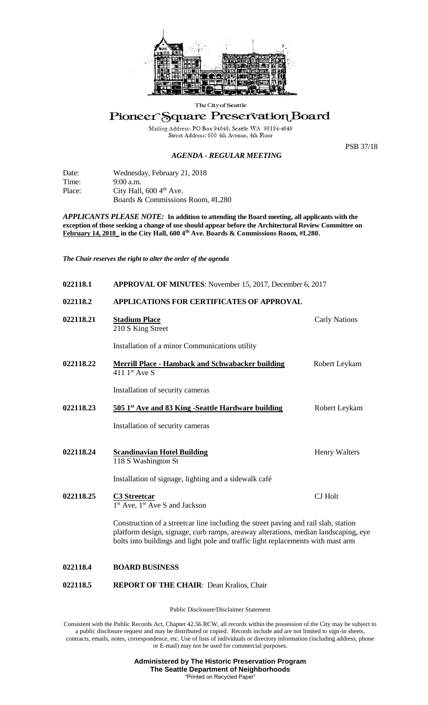

The City of Seattle

## Pioneer Square Preservation Board

Mailing Address: PO Box 94649, Seattle WA 98124-4649<br>Street Address: 600 4th Avenue, 4th Floor

## *AGENDA - REGULAR MEETING*

PSB 37/18

Date: Wednesday, February 21, 2018 Time: 9:00 a.m. Place: City Hall, 600 4<sup>th</sup> Ave. Boards & Commissions Room, #L280

*APPLICANTS PLEASE NOTE:* **In addition to attending the Board meeting, all applicants with the exception of those seeking a change of use should appear before the Architectural Review Committee on February 14, 2018\_ in the City Hall, 600 4th Ave. Boards & Commissions Room, #L280.**

*The Chair reserves the right to alter the order of the agenda*

| 022118.1  | APPROVAL OF MINUTES: November 15, 2017, December 6, 2017                            |                      |
|-----------|-------------------------------------------------------------------------------------|----------------------|
| 022118.2  | APPLICATIONS FOR CERTIFICATES OF APPROVAL                                           |                      |
| 022118.21 | <b>Stadium Place</b><br>210 S King Street                                           | <b>Carly Nations</b> |
|           | Installation of a minor Communications utility                                      |                      |
| 022118.22 | <b>Merrill Place - Hamback and Schwabacker building</b><br>411 $1st$ Ave S          | Robert Leykam        |
|           | Installation of security cameras                                                    |                      |
| 022118.23 | 505 1 <sup>st</sup> Ave and 83 King -Seattle Hardware building                      | Robert Leykam        |
|           | Installation of security cameras                                                    |                      |
| 022118.24 | <b>Scandinavian Hotel Building</b><br>118 S Washington St                           | Henry Walters        |
|           | Installation of signage, lighting and a sidewalk café                               |                      |
| 022118.25 | <b>C3 Streetcar</b><br>1 <sup>st</sup> Ave, 1 <sup>st</sup> Ave S and Jackson       | <b>CJ</b> Holt       |
|           | Construction of a streetcar line including the street paying and rail slab, station |                      |

Construction of a streetcar line including the street paving and rail slab, station platform design, signage, curb ramps, areaway alterations, median landscaping, eye bolts into buildings and light pole and traffic light replacements with mast arm

## **022118.4 BOARD BUSINESS**

**022118.5 REPORT OF THE CHAIR**: Dean Kralios, Chair

Public Disclosure/Disclaimer Statement

Consistent with the Public Records Act, Chapter 42.56 RCW, all records within the possession of the City may be subject to a public disclosure request and may be distributed or copied. Records include and are not limited to sign-in sheets, contracts, emails, notes, correspondence, etc. Use of lists of individuals or directory information (including address, phone or E-mail) may not be used for commercial purposes.

> **Administered by The Historic Preservation Program The Seattle Department of Neighborhoods** "Printed on Recycled Paper"